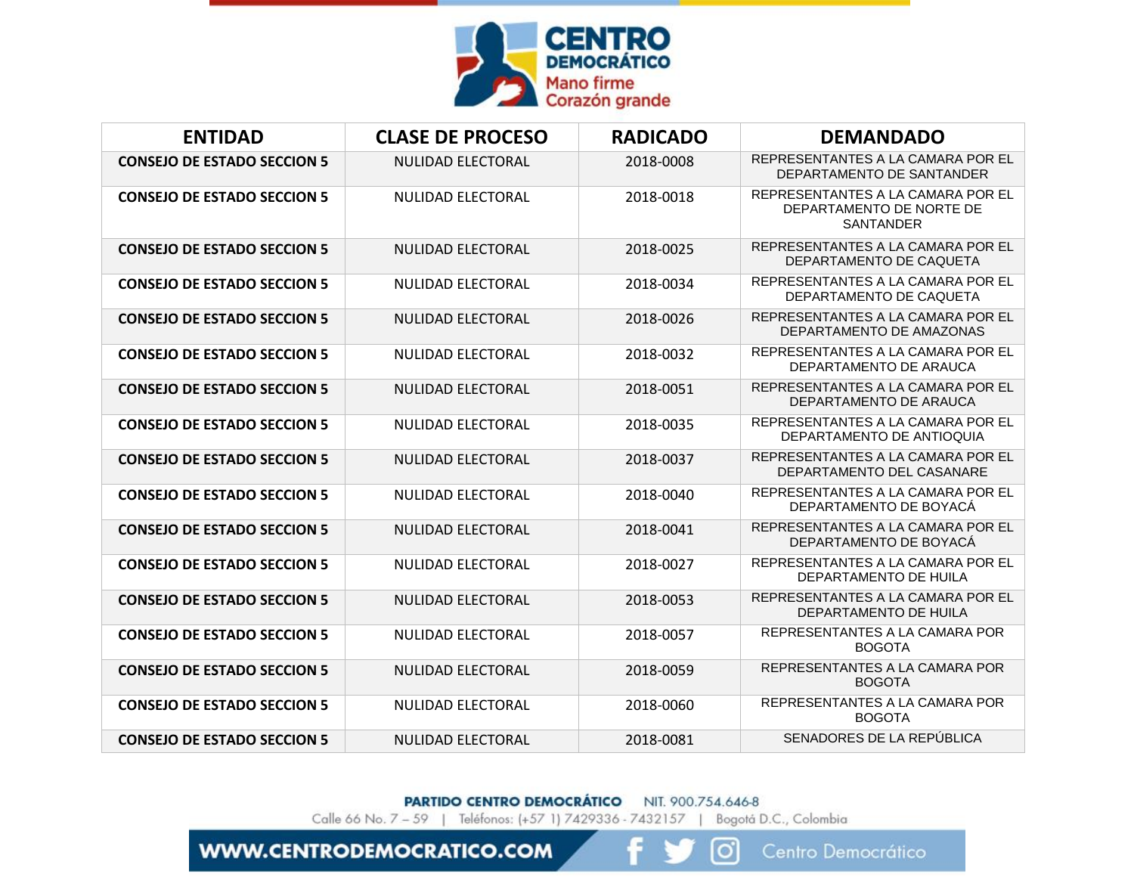

| <b>ENTIDAD</b>                     | <b>CLASE DE PROCESO</b>  | <b>RADICADO</b> | <b>DEMANDADO</b>                                                                  |
|------------------------------------|--------------------------|-----------------|-----------------------------------------------------------------------------------|
| <b>CONSEJO DE ESTADO SECCION 5</b> | <b>NULIDAD ELECTORAL</b> | 2018-0008       | REPRESENTANTES A LA CAMARA POR EL<br>DEPARTAMENTO DE SANTANDER                    |
| <b>CONSEJO DE ESTADO SECCION 5</b> | <b>NULIDAD ELECTORAL</b> | 2018-0018       | REPRESENTANTES A LA CAMARA POR EL<br>DEPARTAMENTO DE NORTE DE<br><b>SANTANDER</b> |
| <b>CONSEJO DE ESTADO SECCION 5</b> | <b>NULIDAD ELECTORAL</b> | 2018-0025       | REPRESENTANTES A LA CAMARA POR EL<br>DEPARTAMENTO DE CAQUETA                      |
| <b>CONSEJO DE ESTADO SECCION 5</b> | NULIDAD ELECTORAL        | 2018-0034       | REPRESENTANTES A LA CAMARA POR EL<br>DEPARTAMENTO DE CAQUETA                      |
| <b>CONSEJO DE ESTADO SECCION 5</b> | <b>NULIDAD ELECTORAL</b> | 2018-0026       | REPRESENTANTES A LA CAMARA POR EL<br>DEPARTAMENTO DE AMAZONAS                     |
| <b>CONSEJO DE ESTADO SECCION 5</b> | <b>NULIDAD ELECTORAL</b> | 2018-0032       | REPRESENTANTES A LA CAMARA POR EL<br>DEPARTAMENTO DE ARAUCA                       |
| <b>CONSEJO DE ESTADO SECCION 5</b> | <b>NULIDAD ELECTORAL</b> | 2018-0051       | REPRESENTANTES A LA CAMARA POR EL<br>DEPARTAMENTO DE ARAUCA                       |
| <b>CONSEJO DE ESTADO SECCION 5</b> | <b>NULIDAD ELECTORAL</b> | 2018-0035       | REPRESENTANTES A LA CAMARA POR EL<br>DEPARTAMENTO DE ANTIOQUIA                    |
| <b>CONSEJO DE ESTADO SECCION 5</b> | <b>NULIDAD ELECTORAL</b> | 2018-0037       | REPRESENTANTES A LA CAMARA POR EL<br>DEPARTAMENTO DEL CASANARE                    |
| <b>CONSEJO DE ESTADO SECCION 5</b> | <b>NULIDAD ELECTORAL</b> | 2018-0040       | REPRESENTANTES A LA CAMARA POR EL<br>DEPARTAMENTO DE BOYACÁ                       |
| <b>CONSEJO DE ESTADO SECCION 5</b> | <b>NULIDAD ELECTORAL</b> | 2018-0041       | REPRESENTANTES A LA CAMARA POR EL<br>DEPARTAMENTO DE BOYACA                       |
| <b>CONSEJO DE ESTADO SECCION 5</b> | <b>NULIDAD ELECTORAL</b> | 2018-0027       | REPRESENTANTES A LA CAMARA POR EL<br>DEPARTAMENTO DE HUILA                        |
| <b>CONSEJO DE ESTADO SECCION 5</b> | <b>NULIDAD ELECTORAL</b> | 2018-0053       | REPRESENTANTES A LA CAMARA POR EL<br>DEPARTAMENTO DE HUILA                        |
| <b>CONSEJO DE ESTADO SECCION 5</b> | <b>NULIDAD ELECTORAL</b> | 2018-0057       | REPRESENTANTES A LA CAMARA POR<br><b>BOGOTA</b>                                   |
| <b>CONSEJO DE ESTADO SECCION 5</b> | <b>NULIDAD ELECTORAL</b> | 2018-0059       | REPRESENTANTES A LA CAMARA POR<br><b>BOGOTA</b>                                   |
| <b>CONSEJO DE ESTADO SECCION 5</b> | <b>NULIDAD ELECTORAL</b> | 2018-0060       | REPRESENTANTES A LA CAMARA POR<br><b>BOGOTA</b>                                   |
| <b>CONSEJO DE ESTADO SECCION 5</b> | <b>NULIDAD ELECTORAL</b> | 2018-0081       | SENADORES DE LA REPÚBLICA                                                         |

**PARTIDO CENTRO DEMOCRÁTICO NIT. 900.754.646-8** 

Calle 66 No. 7 - 59 | Teléfonos: (+57 1) 7429336 - 7432157 | Bogotá D.C., Colombia

**WWW.CENTRODEMOCRATICO.COM** 

 $|o|$